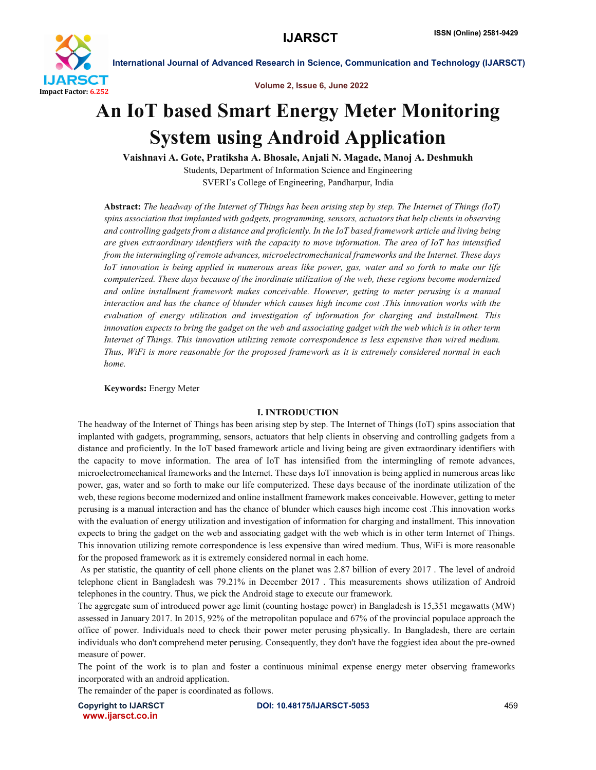

Volume 2, Issue 6, June 2022

# An IoT based Smart Energy Meter Monitoring System using Android Application

Vaishnavi A. Gote, Pratiksha A. Bhosale, Anjali N. Magade, Manoj A. Deshmukh Students, Department of Information Science and Engineering SVERI's College of Engineering, Pandharpur, India

Abstract: *The headway of the Internet of Things has been arising step by step. The Internet of Things (IoT) spins association that implanted with gadgets, programming, sensors, actuators that help clients in observing and controlling gadgets from a distance and proficiently. In the IoT based framework article and living being are given extraordinary identifiers with the capacity to move information. The area of IoT has intensified from the intermingling of remote advances, microelectromechanical frameworks and the Internet. These days IoT innovation is being applied in numerous areas like power, gas, water and so forth to make our life computerized. These days because of the inordinate utilization of the web, these regions become modernized and online installment framework makes conceivable. However, getting to meter perusing is a manual interaction and has the chance of blunder which causes high income cost .This innovation works with the evaluation of energy utilization and investigation of information for charging and installment. This innovation expects to bring the gadget on the web and associating gadget with the web which is in other term Internet of Things. This innovation utilizing remote correspondence is less expensive than wired medium. Thus, WiFi is more reasonable for the proposed framework as it is extremely considered normal in each home.*

Keywords: Energy Meter

# I. INTRODUCTION

The headway of the Internet of Things has been arising step by step. The Internet of Things (IoT) spins association that implanted with gadgets, programming, sensors, actuators that help clients in observing and controlling gadgets from a distance and proficiently. In the IoT based framework article and living being are given extraordinary identifiers with the capacity to move information. The area of IoT has intensified from the intermingling of remote advances, microelectromechanical frameworks and the Internet. These days IoT innovation is being applied in numerous areas like power, gas, water and so forth to make our life computerized. These days because of the inordinate utilization of the web, these regions become modernized and online installment framework makes conceivable. However, getting to meter perusing is a manual interaction and has the chance of blunder which causes high income cost .This innovation works with the evaluation of energy utilization and investigation of information for charging and installment. This innovation expects to bring the gadget on the web and associating gadget with the web which is in other term Internet of Things. This innovation utilizing remote correspondence is less expensive than wired medium. Thus, WiFi is more reasonable for the proposed framework as it is extremely considered normal in each home.

As per statistic, the quantity of cell phone clients on the planet was 2.87 billion of every 2017 . The level of android telephone client in Bangladesh was 79.21% in December 2017 . This measurements shows utilization of Android telephones in the country. Thus, we pick the Android stage to execute our framework.

The aggregate sum of introduced power age limit (counting hostage power) in Bangladesh is 15,351 megawatts (MW) assessed in January 2017. In 2015, 92% of the metropolitan populace and 67% of the provincial populace approach the office of power. Individuals need to check their power meter perusing physically. In Bangladesh, there are certain individuals who don't comprehend meter perusing. Consequently, they don't have the foggiest idea about the pre-owned measure of power.

The point of the work is to plan and foster a continuous minimal expense energy meter observing frameworks incorporated with an android application.

The remainder of the paper is coordinated as follows.

www.ijarsct.co.in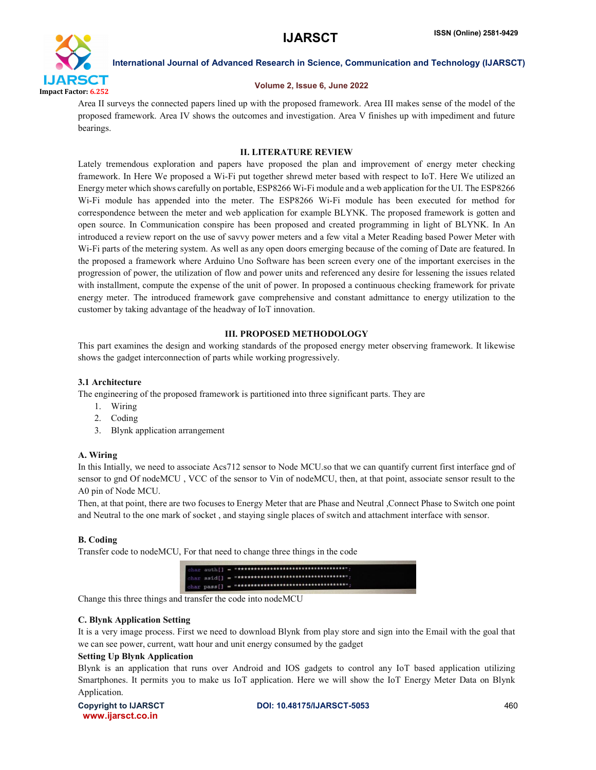

#### Volume 2, Issue 6, June 2022

Area II surveys the connected papers lined up with the proposed framework. Area III makes sense of the model of the proposed framework. Area IV shows the outcomes and investigation. Area V finishes up with impediment and future bearings.

# II. LITERATURE REVIEW

Lately tremendous exploration and papers have proposed the plan and improvement of energy meter checking framework. In Here We proposed a Wi-Fi put together shrewd meter based with respect to IoT. Here We utilized an Energy meter which shows carefully on portable, ESP8266 Wi-Fi module and a web application for the UI. The ESP8266 Wi-Fi module has appended into the meter. The ESP8266 Wi-Fi module has been executed for method for correspondence between the meter and web application for example BLYNK. The proposed framework is gotten and open source. In Communication conspire has been proposed and created programming in light of BLYNK. In An introduced a review report on the use of savvy power meters and a few vital a Meter Reading based Power Meter with Wi-Fi parts of the metering system. As well as any open doors emerging because of the coming of Date are featured. In the proposed a framework where Arduino Uno Software has been screen every one of the important exercises in the progression of power, the utilization of flow and power units and referenced any desire for lessening the issues related with installment, compute the expense of the unit of power. In proposed a continuous checking framework for private energy meter. The introduced framework gave comprehensive and constant admittance to energy utilization to the customer by taking advantage of the headway of IoT innovation.

# III. PROPOSED METHODOLOGY

This part examines the design and working standards of the proposed energy meter observing framework. It likewise shows the gadget interconnection of parts while working progressively.

# 3.1 Architecture

The engineering of the proposed framework is partitioned into three significant parts. They are

- 1. Wiring
- 2. Coding
- 3. Blynk application arrangement

# A. Wiring

In this Intially, we need to associate Acs712 sensor to Node MCU.so that we can quantify current first interface gnd of sensor to gnd Of nodeMCU , VCC of the sensor to Vin of nodeMCU, then, at that point, associate sensor result to the A0 pin of Node MCU.

Then, at that point, there are two focuses to Energy Meter that are Phase and Neutral ,Connect Phase to Switch one point and Neutral to the one mark of socket , and staying single places of switch and attachment interface with sensor.

# B. Coding

Transfer code to nodeMCU, For that need to change three things in the code



Change this three things and transfer the code into nodeMCU

# C. Blynk Application Setting

It is a very image process. First we need to download Blynk from play store and sign into the Email with the goal that we can see power, current, watt hour and unit energy consumed by the gadget

# Setting Up Blynk Application

Blynk is an application that runs over Android and IOS gadgets to control any IoT based application utilizing Smartphones. It permits you to make us IoT application. Here we will show the IoT Energy Meter Data on Blynk Application.

www.ijarsct.co.in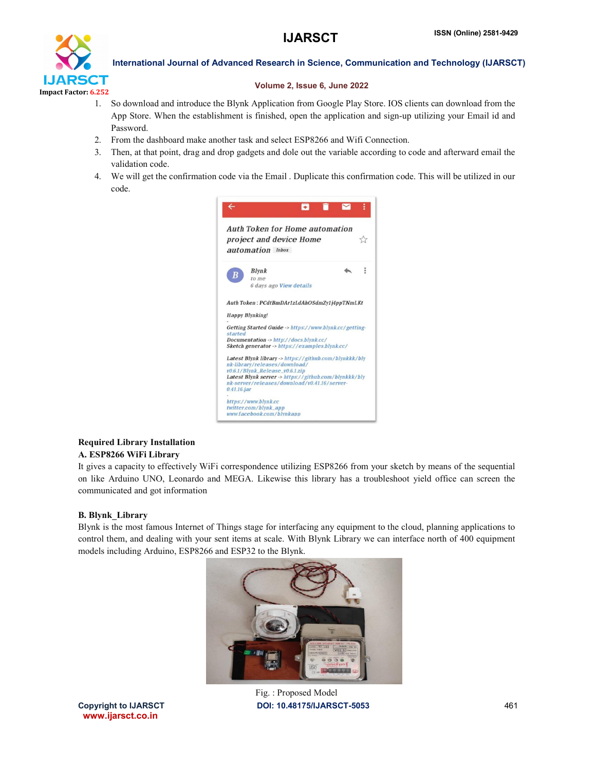

# Volume 2, Issue 6, June 2022

- 1. So download and introduce the Blynk Application from Google Play Store. IOS clients can download from the App Store. When the establishment is finished, open the application and sign-up utilizing your Email id and Password.
- 2. From the dashboard make another task and select ESP8266 and Wifi Connection.
- 3. Then, at that point, drag and drop gadgets and dole out the variable according to code and afterward email the validation code.
- 4. We will get the confirmation code via the Email . Duplicate this confirmation code. This will be utilized in our code.



# Required Library Installation A. ESP8266 WiFi Library

It gives a capacity to effectively WiFi correspondence utilizing ESP8266 from your sketch by means of the sequential on like Arduino UNO, Leonardo and MEGA. Likewise this library has a troubleshoot yield office can screen the communicated and got information

# B. Blynk\_Library

Blynk is the most famous Internet of Things stage for interfacing any equipment to the cloud, planning applications to control them, and dealing with your sent items at scale. With Blynk Library we can interface north of 400 equipment models including Arduino, ESP8266 and ESP32 to the Blynk.



Copyright to IJARSCT **DOI: 10.48175/IJARSCT-5053** 461 Fig. : Proposed Model

www.ijarsct.co.in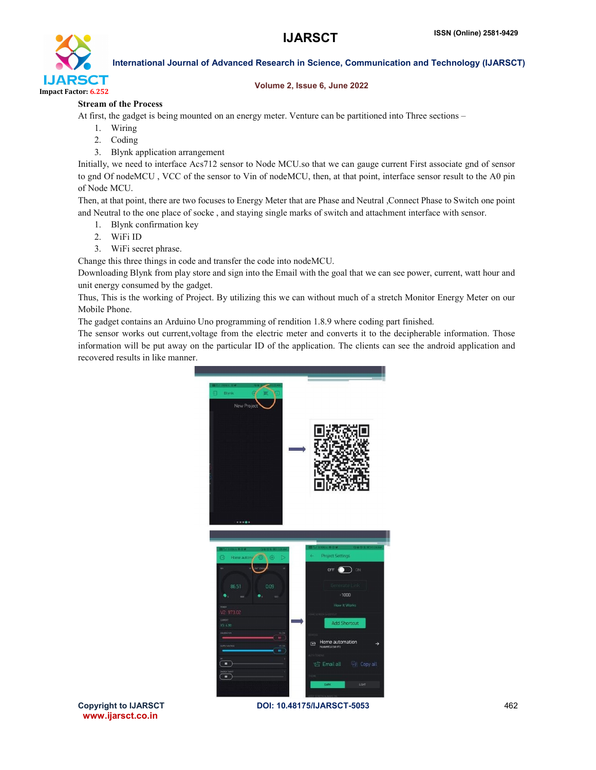

# Volume 2, Issue 6, June 2022

# Stream of the Process

At first, the gadget is being mounted on an energy meter. Venture can be partitioned into Three sections –

- 1. Wiring
- 2. Coding
- 3. Blynk application arrangement

Initially, we need to interface Acs712 sensor to Node MCU.so that we can gauge current First associate gnd of sensor to gnd Of nodeMCU , VCC of the sensor to Vin of nodeMCU, then, at that point, interface sensor result to the A0 pin of Node MCU.

Then, at that point, there are two focuses to Energy Meter that are Phase and Neutral ,Connect Phase to Switch one point and Neutral to the one place of socke , and staying single marks of switch and attachment interface with sensor.

- 1. Blynk confirmation key
- 2. WiFi ID
- 3. WiFi secret phrase.

Change this three things in code and transfer the code into nodeMCU.

Downloading Blynk from play store and sign into the Email with the goal that we can see power, current, watt hour and unit energy consumed by the gadget.

Thus, This is the working of Project. By utilizing this we can without much of a stretch Monitor Energy Meter on our Mobile Phone.

The gadget contains an Arduino Uno programming of rendition 1.8.9 where coding part finished.

The sensor works out current,voltage from the electric meter and converts it to the decipherable information. Those information will be put away on the particular ID of the application. The clients can see the android application and recovered results in like manner.



www.ijarsct.co.in

Copyright to IJARSCT **DOI: 10.48175/IJARSCT-5053** 462